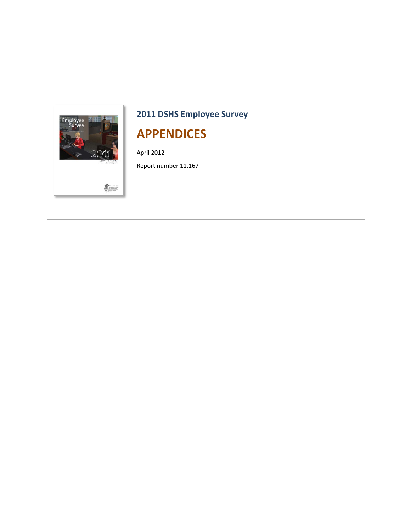

# **2011 DSHS Employee Survey APPENDICES**

April 2012

Report number 11.167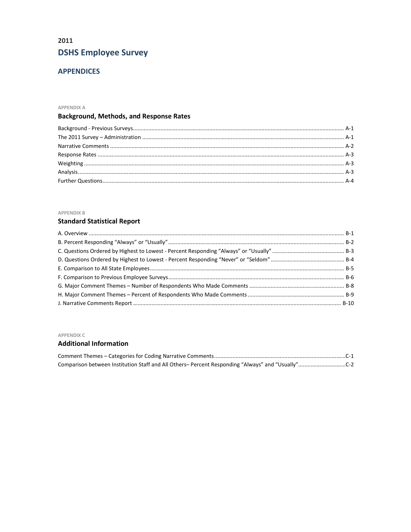## 2011 **DSHS Employee Survey**

## **APPENDICES**

#### APPENDIX A

## **Background, Methods, and Response Rates**

#### APPENDIX B

#### **Standard Statistical Report**

#### APPENDIX C

#### **Additional Information**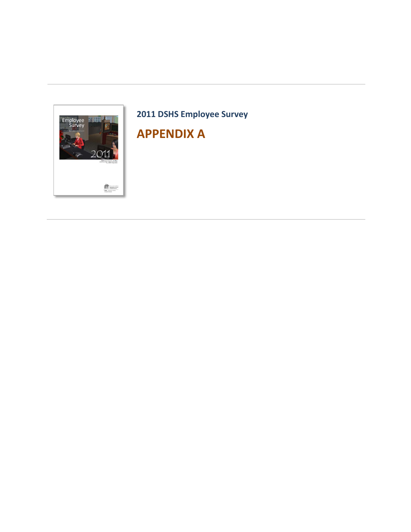

# **2011 DSHS Employee Survey APPENDIX A**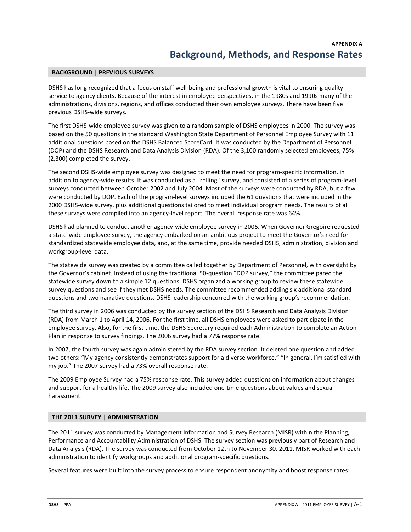#### **BACKGROUND** | **PREVIOUS SURVEYS**

DSHS has long recognized that a focus on staff well-being and professional growth is vital to ensuring quality service to agency clients. Because of the interest in employee perspectives, in the 1980s and 1990s many of the administrations, divisions, regions, and offices conducted their own employee surveys. There have been five previous DSHS-wide surveys.

The first DSHS-wide employee survey was given to a random sample of DSHS employees in 2000. The survey was based on the 50 questions in the standard Washington State Department of Personnel Employee Survey with 11 additional questions based on the DSHS Balanced ScoreCard. It was conducted by the Department of Personnel (DOP) and the DSHS Research and Data Analysis Division (RDA). Of the 3,100 randomly selected employees, 75% (2,300) completed the survey.

The second DSHS-wide employee survey was designed to meet the need for program-specific information, in addition to agency-wide results. It was conducted as a "rolling" survey, and consisted of a series of program-level surveys conducted between October 2002 and July 2004. Most of the surveys were conducted by RDA, but a few were conducted by DOP. Each of the program-level surveys included the 61 questions that were included in the 2000 DSHS-wide survey, plus additional questions tailored to meet individual program needs. The results of all these surveys were compiled into an agency-level report. The overall response rate was 64%.

DSHS had planned to conduct another agency-wide employee survey in 2006. When Governor Gregoire requested a state-wide employee survey, the agency embarked on an ambitious project to meet the Governor's need for standardized statewide employee data, and, at the same time, provide needed DSHS, administration, division and workgroup-level data.

The statewide survey was created by a committee called together by Department of Personnel, with oversight by the Governor's cabinet. Instead of using the traditional 50-question "DOP survey," the committee pared the statewide survey down to a simple 12 questions. DSHS organized a working group to review these statewide survey questions and see if they met DSHS needs. The committee recommended adding six additional standard questions and two narrative questions. DSHS leadership concurred with the working group's recommendation.

The third survey in 2006 was conducted by the survey section of the DSHS Research and Data Analysis Division (RDA) from March 1 to April 14, 2006. For the first time, all DSHS employees were asked to participate in the employee survey. Also, for the first time, the DSHS Secretary required each Administration to complete an Action Plan in response to survey findings. The 2006 survey had a 77% response rate.

In 2007, the fourth survey was again administered by the RDA survey section. It deleted one question and added two others: "My agency consistently demonstrates support for a diverse workforce." "In general, I'm satisfied with my job." The 2007 survey had a 73% overall response rate.

The 2009 Employee Survey had a 75% response rate. This survey added questions on information about changes and support for a healthy life. The 2009 survey also included one-time questions about values and sexual harassment.

#### **THE 2011 SURVEY** | **ADMINISTRATION**

The 2011 survey was conducted by Management Information and Survey Research (MISR) within the Planning, Performance and Accountability Administration of DSHS. The survey section was previously part of Research and Data Analysis (RDA). The survey was conducted from October 12th to November 30, 2011. MISR worked with each administration to identify workgroups and additional program-specific questions.

Several features were built into the survey process to ensure respondent anonymity and boost response rates: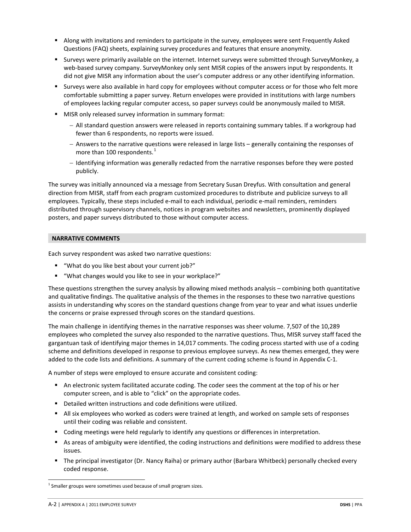- Along with invitations and reminders to participate in the survey, employees were sent Frequently Asked Questions (FAQ) sheets, explaining survey procedures and features that ensure anonymity.
- Surveys were primarily available on the internet. Internet surveys were submitted through SurveyMonkey, a web-based survey company. SurveyMonkey only sent MISR copies of the answers input by respondents. It did not give MISR any information about the user's computer address or any other identifying information.
- Surveys were also available in hard copy for employees without computer access or for those who felt more comfortable submitting a paper survey. Return envelopes were provided in institutions with large numbers of employees lacking regular computer access, so paper surveys could be anonymously mailed to MISR.
- **MISR only released survey information in summary format:** 
	- − All standard question answers were released in reports containing summary tables. If a workgroup had fewer than 6 respondents, no reports were issued.
	- − Answers to the narrative questions were released in large lists generally containing the responses of more than [1](#page-7-0)00 respondents.<sup>1</sup>
	- − Identifying information was generally redacted from the narrative responses before they were posted publicly.

The survey was initially announced via a message from Secretary Susan Dreyfus. With consultation and general direction from MISR, staff from each program customized procedures to distribute and publicize surveys to all employees. Typically, these steps included e-mail to each individual, periodic e-mail reminders, reminders distributed through supervisory channels, notices in program websites and newsletters, prominently displayed posters, and paper surveys distributed to those without computer access.

#### **NARRATIVE COMMENTS**

Each survey respondent was asked two narrative questions:

- "What do you like best about your current job?"
- "What changes would you like to see in your workplace?"

These questions strengthen the survey analysis by allowing mixed methods analysis – combining both quantitative and qualitative findings. The qualitative analysis of the themes in the responses to these two narrative questions assists in understanding why scores on the standard questions change from year to year and what issues underlie the concerns or praise expressed through scores on the standard questions.

The main challenge in identifying themes in the narrative responses was sheer volume. 7,507 of the 10,289 employees who completed the survey also responded to the narrative questions. Thus, MISR survey staff faced the gargantuan task of identifying major themes in 14,017 comments. The coding process started with use of a coding scheme and definitions developed in response to previous employee surveys. As new themes emerged, they were added to the code lists and definitions. A summary of the current coding scheme is found in Appendix C-1.

A number of steps were employed to ensure accurate and consistent coding:

- An electronic system facilitated accurate coding. The coder sees the comment at the top of his or her computer screen, and is able to "click" on the appropriate codes.
- **Detailed written instructions and code definitions were utilized.**
- All six employees who worked as coders were trained at length, and worked on sample sets of responses until their coding was reliable and consistent.
- Coding meetings were held regularly to identify any questions or differences in interpretation.
- As areas of ambiguity were identified, the coding instructions and definitions were modified to address these issues.
- The principal investigator (Dr. Nancy Raiha) or primary author (Barbara Whitbeck) personally checked every coded response.

<span id="page-7-0"></span> $1$  Smaller groups were sometimes used because of small program sizes.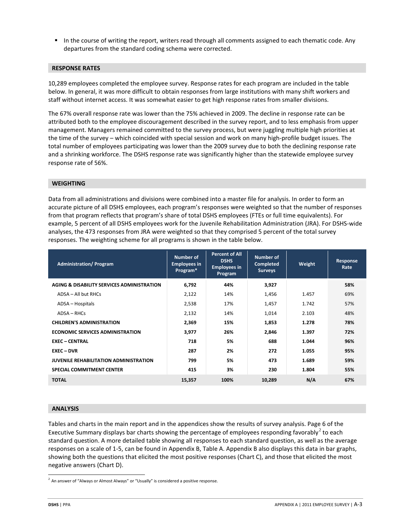In the course of writing the report, writers read through all comments assigned to each thematic code. Any departures from the standard coding schema were corrected.

#### **RESPONSE RATES**

10,289 employees completed the employee survey. Response rates for each program are included in the table below. In general, it was more difficult to obtain responses from large institutions with many shift workers and staff without internet access. It was somewhat easier to get high response rates from smaller divisions.

The 67% overall response rate was lower than the 75% achieved in 2009. The decline in response rate can be attributed both to the employee discouragement described in the survey report, and to less emphasis from upper management. Managers remained committed to the survey process, but were juggling multiple high priorities at the time of the survey – which coincided with special session and work on many high-profile budget issues. The total number of employees participating was lower than the 2009 survey due to both the declining response rate and a shrinking workforce. The DSHS response rate was significantly higher than the statewide employee survey response rate of 56%.

#### **WEIGHTING**

Data from all administrations and divisions were combined into a master file for analysis. In order to form an accurate picture of all DSHS employees, each program's responses were weighted so that the number of responses from that program reflects that program's share of total DSHS employees (FTEs or full time equivalents). For example, 5 percent of all DSHS employees work for the Juvenile Rehabilitation Administration (JRA). For DSHS-wide analyses, the 473 responses from JRA were weighted so that they comprised 5 percent of the total survey responses. The weighting scheme for all programs is shown in the table below.

| <b>Administration/Program</b>                 | Number of<br><b>Employees in</b><br>Program* | <b>Percent of All</b><br><b>DSHS</b><br><b>Employees in</b><br>Program | Number of<br><b>Completed</b><br><b>Surveys</b> | Weight | <b>Response</b><br>Rate |
|-----------------------------------------------|----------------------------------------------|------------------------------------------------------------------------|-------------------------------------------------|--------|-------------------------|
| AGING & DISABILITY SERVICES ADMINISTRATION    | 6,792                                        | 44%                                                                    | 3,927                                           |        | 58%                     |
| ADSA - All but RHCs                           | 2,122                                        | 14%                                                                    | 1,456                                           | 1.457  | 69%                     |
| ADSA - Hospitals                              | 2,538                                        | 17%                                                                    | 1,457                                           | 1.742  | 57%                     |
| $ADSA - RHCs$                                 | 2,132                                        | 14%                                                                    | 1,014                                           | 2.103  | 48%                     |
| <b>CHILDREN'S ADMINISTRATION</b>              | 2,369                                        | 15%                                                                    | 1,853                                           | 1.278  | 78%                     |
| <b>ECONOMIC SERVICES ADMINISTRATION</b>       | 3,977                                        | 26%                                                                    | 2,846                                           | 1.397  | 72%                     |
| <b>EXEC - CENTRAL</b>                         | 718                                          | 5%                                                                     | 688                                             | 1.044  | 96%                     |
| EXEC - DVR                                    | 287                                          | 2%                                                                     | 272                                             | 1.055  | 95%                     |
| <b>JUVENILE REHABILITATION ADMINISTRATION</b> | 799                                          | 5%                                                                     | 473                                             | 1.689  | 59%                     |
| <b>SPECIAL COMMITMENT CENTER</b>              | 415                                          | 3%                                                                     | 230                                             | 1.804  | 55%                     |
| <b>TOTAL</b>                                  | 15,357                                       | 100%                                                                   | 10,289                                          | N/A    | 67%                     |

#### **ANALYSIS**

Tables and charts in the main report and in the appendices show the results of survey analysis. Page 6 of the Executive Summary displays bar charts showing the percentage of employees responding favorably<sup>[2](#page-8-0)</sup> to each standard question. A more detailed table showing all responses to each standard question, as well as the average responses on a scale of 1-5, can be found in Appendix B, Table A. Appendix B also displays this data in bar graphs, showing both the questions that elicited the most positive responses (Chart C), and those that elicited the most negative answers (Chart D).

<span id="page-8-0"></span> $<sup>2</sup>$  An answer of "Always or Almost Always" or "Usually" is considered a positive response.</sup>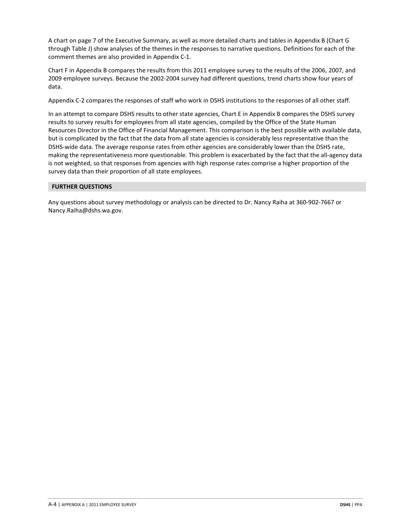A chart on page 7 of the Executive Summary, as well as more detailed charts and tables in Appendix B (Chart G through Table J) show analyses of the themes in the responses to narrative questions. Definitions for each of the comment themes are also provided in Appendix C-1.

Chart F in Appendix B compares the results from this 2011 employee survey to the results of the 2006, 2007, and 2009 employee surveys. Because the 2002-2004 survey had different questions, trend charts show four years of data.

Appendix C-2 compares the responses of staff who work in DSHS institutions to the responses of all other staff.

In an attempt to compare DSHS results to other state agencies, Chart E in Appendix B compares the DSHS survey results to survey results for employees from all state agencies, compiled by the Office of the State Human Resources Director in the Office of Financial Management. This comparison is the best possible with available data, but is complicated by the fact that the data from all state agencies is considerably less representative than the DSHS-wide data. The average response rates from other agencies are considerably lower than the DSHS rate, making the representativeness more questionable. This problem is exacerbated by the fact that the all-agency data is not weighted, so that responses from agencies with high response rates comprise a higher proportion of the survey data than their proportion of all state employees.

#### **FURTHER QUESTIONS**

Any questions about survey methodology or analysis can be directed to Dr. Nancy Raiha at 360-902-7667 or Nancy.Raiha@dshs.wa.gov.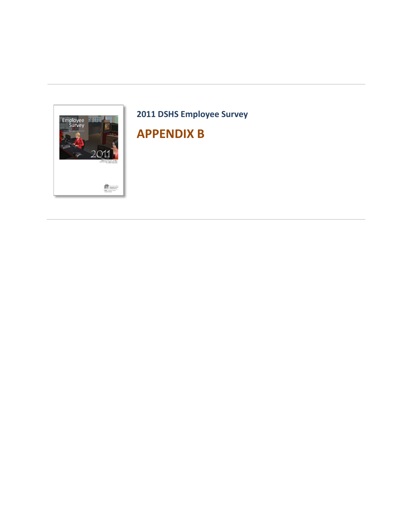

# **2011 DSHS Employee Survey APPENDIX B**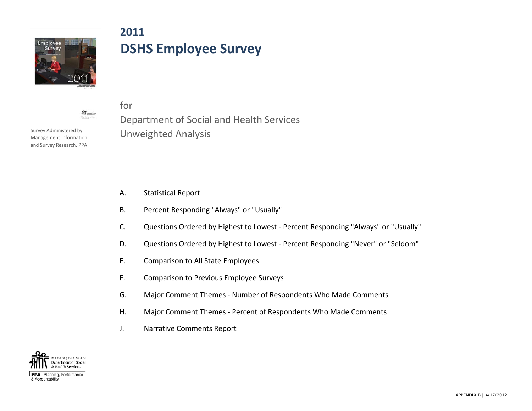

**2011 DSHS Employee Survey**

Survey Administered by Management Information and Survey Research, PPA

# Department of Social and Health Services Unweighted Analysis

A. Statistical Report

for

- B. Percent Responding "Always" or "Usually"
- C. Questions Ordered by Highest to Lowest Percent Responding "Always" or "Usually"
- D. Questions Ordered by Highest to Lowest Percent Responding "Never" or "Seldom"
- E. Comparison to All State Employees
- F. Comparison to Previous Employee Surveys
- G. Major Comment Themes Number of Respondents Who Made Comments
- H. Major Comment Themes Percent of Respondents Who Made Comments
- J. Narrative Comments Report



PPA Planning, Performance & Accountability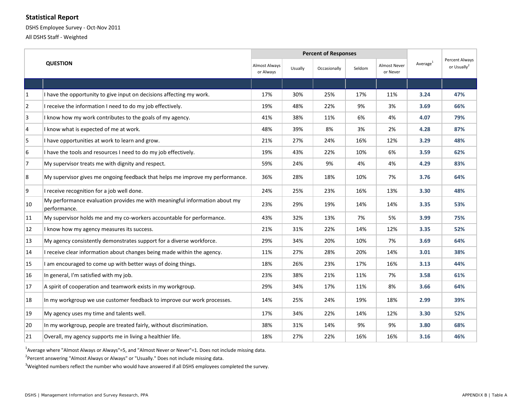#### **Statistical Report**

DSHS Employee Survey - Oct-Nov 2011

All DSHS Staff - Weighted

|                |                                                                                            | <b>Percent of Responses</b> |         |              |        |                                 |                      |                                           |
|----------------|--------------------------------------------------------------------------------------------|-----------------------------|---------|--------------|--------|---------------------------------|----------------------|-------------------------------------------|
|                | <b>QUESTION</b>                                                                            |                             | Usually | Occasionally | Seldom | <b>Almost Never</b><br>or Never | Average <sup>1</sup> | Percent Always<br>or Usually <sup>2</sup> |
|                |                                                                                            |                             |         |              |        |                                 |                      |                                           |
| $\vert$ 1      | I have the opportunity to give input on decisions affecting my work.                       | 17%                         | 30%     | 25%          | 17%    | 11%                             | 3.24                 | 47%                                       |
| $\overline{2}$ | I receive the information I need to do my job effectively.                                 | 19%                         | 48%     | 22%          | 9%     | 3%                              | 3.69                 | 66%                                       |
| 3              | I know how my work contributes to the goals of my agency.                                  | 41%                         | 38%     | 11%          | 6%     | 4%                              | 4.07                 | 79%                                       |
| $\overline{4}$ | I know what is expected of me at work.                                                     | 48%                         | 39%     | 8%           | 3%     | 2%                              | 4.28                 | 87%                                       |
| 5              | I have opportunities at work to learn and grow.                                            | 21%                         | 27%     | 24%          | 16%    | 12%                             | 3.29                 | 48%                                       |
| 6              | I have the tools and resources I need to do my job effectively.                            | 19%                         | 43%     | 22%          | 10%    | 6%                              | 3.59                 | 62%                                       |
| 7              | My supervisor treats me with dignity and respect.                                          | 59%                         | 24%     | 9%           | 4%     | 4%                              | 4.29                 | 83%                                       |
| 8              | My supervisor gives me ongoing feedback that helps me improve my performance.              | 36%                         | 28%     | 18%          | 10%    | 7%                              | 3.76                 | 64%                                       |
| 9              | I receive recognition for a job well done.                                                 | 24%                         | 25%     | 23%          | 16%    | 13%                             | 3.30                 | 48%                                       |
| 10             | My performance evaluation provides me with meaningful information about my<br>performance. | 23%                         | 29%     | 19%          | 14%    | 14%                             | 3.35                 | 53%                                       |
| 11             | My supervisor holds me and my co-workers accountable for performance.                      | 43%                         | 32%     | 13%          | 7%     | 5%                              | 3.99                 | 75%                                       |
| 12             | I know how my agency measures its success.                                                 | 21%                         | 31%     | 22%          | 14%    | 12%                             | 3.35                 | 52%                                       |
| 13             | My agency consistently demonstrates support for a diverse workforce.                       | 29%                         | 34%     | 20%          | 10%    | 7%                              | 3.69                 | 64%                                       |
| 14             | I receive clear information about changes being made within the agency.                    | 11%                         | 27%     | 28%          | 20%    | 14%                             | 3.01                 | 38%                                       |
| 15             | I am encouraged to come up with better ways of doing things.                               | 18%                         | 26%     | 23%          | 17%    | 16%                             | 3.13                 | 44%                                       |
| 16             | In general, I'm satisfied with my job.                                                     | 23%                         | 38%     | 21%          | 11%    | 7%                              | 3.58                 | 61%                                       |
| 17             | A spirit of cooperation and teamwork exists in my workgroup.                               | 29%                         | 34%     | 17%          | 11%    | 8%                              | 3.66                 | 64%                                       |
| 18             | In my workgroup we use customer feedback to improve our work processes.                    | 14%                         | 25%     | 24%          | 19%    | 18%                             | 2.99                 | 39%                                       |
| 19             | My agency uses my time and talents well.                                                   | 17%                         | 34%     | 22%          | 14%    | 12%                             | 3.30                 | 52%                                       |
| 20             | In my workgroup, people are treated fairly, without discrimination.                        | 38%                         | 31%     | 14%          | 9%     | 9%                              | 3.80                 | 68%                                       |
| 21             | Overall, my agency supports me in living a healthier life.                                 | 18%                         | 27%     | 22%          | 16%    | 16%                             | 3.16                 | 46%                                       |

<sup>1</sup>Average where "Almost Always or Always"=5, and "Almost Never or Never"=1. Does not include missing data.

<sup>2</sup> Percent answering "Almost Always or Always" or "Usually." Does not include missing data.

<sup>3</sup>Weighted numbers reflect the number who would have answered if all DSHS employees completed the survey.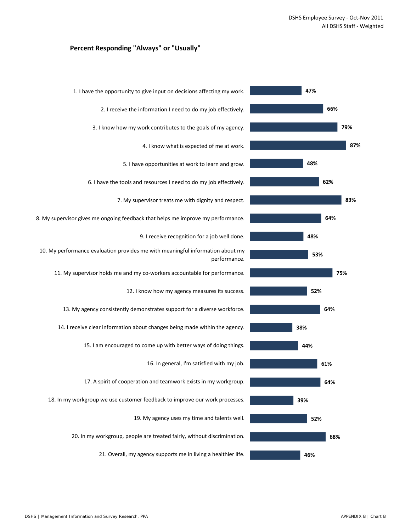#### **Percent Responding "Always" or "Usually"**

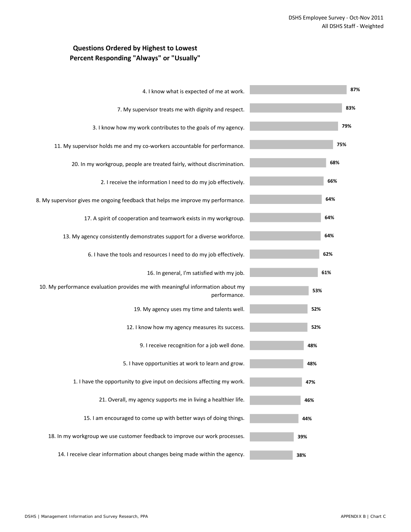## **Questions Ordered by Highest to Lowest Percent Responding "Always" or "Usually"**

| 4. I know what is expected of me at work.                                                      | 87% |
|------------------------------------------------------------------------------------------------|-----|
| 7. My supervisor treats me with dignity and respect.                                           | 83% |
| 3. I know how my work contributes to the goals of my agency.                                   | 79% |
| 11. My supervisor holds me and my co-workers accountable for performance.                      | 75% |
| 20. In my workgroup, people are treated fairly, without discrimination.                        | 68% |
| 2. I receive the information I need to do my job effectively.                                  | 66% |
| 8. My supervisor gives me ongoing feedback that helps me improve my performance.               | 64% |
| 17. A spirit of cooperation and teamwork exists in my workgroup.                               | 64% |
| 13. My agency consistently demonstrates support for a diverse workforce.                       | 64% |
| 6. I have the tools and resources I need to do my job effectively.                             | 62% |
| 16. In general, I'm satisfied with my job.                                                     | 61% |
| 10. My performance evaluation provides me with meaningful information about my<br>performance. | 53% |
| 19. My agency uses my time and talents well.                                                   | 52% |
| 12. I know how my agency measures its success.                                                 | 52% |
| 9. I receive recognition for a job well done.                                                  | 48% |
| 5. I have opportunities at work to learn and grow.                                             | 48% |
| 1. I have the opportunity to give input on decisions affecting my work.                        | 47% |
| 21. Overall, my agency supports me in living a healthier life.                                 | 46% |
| 15. I am encouraged to come up with better ways of doing things.                               | 44% |
| 18. In my workgroup we use customer feedback to improve our work processes.                    | 39% |
| 14. I receive clear information about changes being made within the agency.                    | 38% |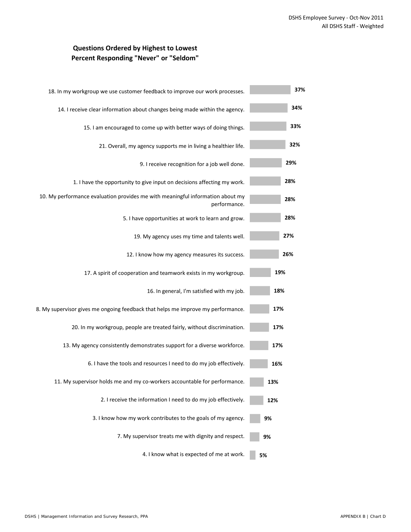## **Questions Ordered by Highest to Lowest Percent Responding "Never" or "Seldom"**

| 37% | 18. In my workgroup we use customer feedback to improve our work processes.                    |
|-----|------------------------------------------------------------------------------------------------|
| 34% | 14. I receive clear information about changes being made within the agency.                    |
| 33% | 15. I am encouraged to come up with better ways of doing things.                               |
| 32% | 21. Overall, my agency supports me in living a healthier life.                                 |
| 29% | 9. I receive recognition for a job well done.                                                  |
| 28% | 1. I have the opportunity to give input on decisions affecting my work.                        |
| 28% | 10. My performance evaluation provides me with meaningful information about my<br>performance. |
| 28% | 5. I have opportunities at work to learn and grow.                                             |
| 27% | 19. My agency uses my time and talents well.                                                   |
| 26% | 12. I know how my agency measures its success.                                                 |
| 19% | 17. A spirit of cooperation and teamwork exists in my workgroup.                               |
| 18% | 16. In general, I'm satisfied with my job.                                                     |
| 17% | 8. My supervisor gives me ongoing feedback that helps me improve my performance.               |
| 17% | 20. In my workgroup, people are treated fairly, without discrimination.                        |
| 17% | 13. My agency consistently demonstrates support for a diverse workforce.                       |
| 16% | 6. I have the tools and resources I need to do my job effectively.                             |
| 13% | 11. My supervisor holds me and my co-workers accountable for performance.                      |
| 12% | 2. I receive the information I need to do my job effectively.                                  |
| 9%  | 3. I know how my work contributes to the goals of my agency.                                   |
| 9%  | 7. My supervisor treats me with dignity and respect.                                           |
| 5%  | 4. I know what is expected of me at work.                                                      |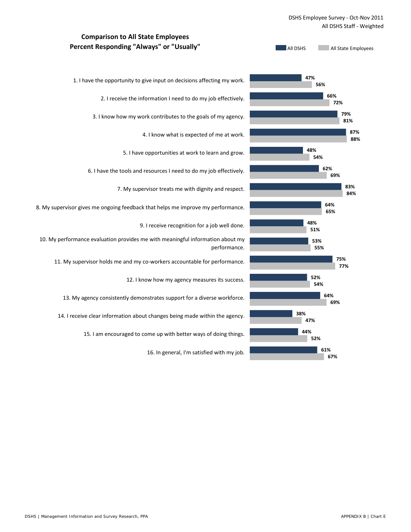#### DSHS Employee Survey - Oct-Nov 2011 All DSHS Staff - Weighted

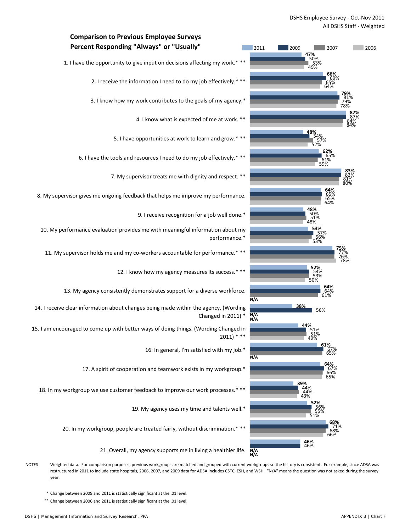

NOTES Weighted data. For comparison purposes, previous workgroups are matched and grouped with current workgroups so the history is consistent. For example, since ADSA was restructured in 2011 to include state hospitals, 2006, 2007, and 2009 data for ADSA includes CSTC, ESH, and WSH. "N/A" means the question was not asked during the survey year.

\* Change between 2009 and 2011 is statistically significant at the .01 level.

\*\* Change between 2006 and 2011 is statistically significant at the .01 level.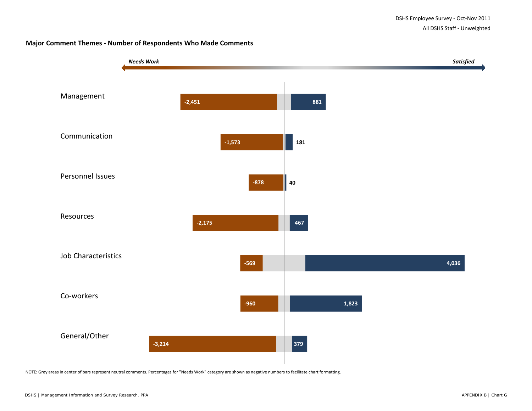#### **Major Comment Themes - Number of Respondents Who Made Comments**



NOTE: Grey areas in center of bars represent neutral comments. Percentages for "Needs Work" category are shown as negative numbers to facilitate chart formatting.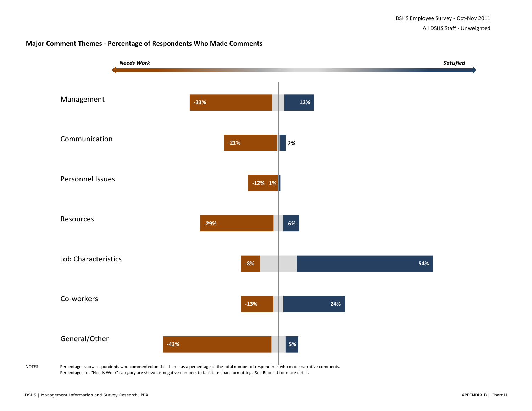#### **Major Comment Themes - Percentage of Respondents Who Made Comments**



NOTES: Percentages show respondents who commented on this theme as a percentage of the total number of respondents who made narrative comments. Percentages for "Needs Work" category are shown as negative numbers to facilitate chart formatting. See Report J for more detail.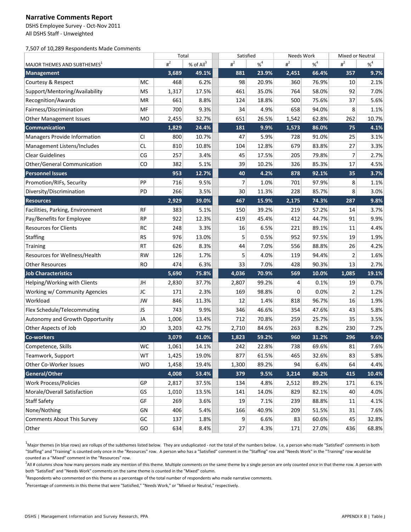#### **Narrative Comments Report**

DSHS Employee Survey - Oct-Nov 2011 All DSHS Staff - Unweighted

7,507 of 10,289 Respondents Made Comments

|                                         |           | Total   |             | Satisfied        |          | Needs Work       |          | Mixed or Neutral |          |
|-----------------------------------------|-----------|---------|-------------|------------------|----------|------------------|----------|------------------|----------|
| MAJOR THEMES AND SUBTHEMES <sup>1</sup> |           | $\mu^2$ | % of $All3$ | $\overline{H}^2$ | $% ^{4}$ | $\overline{H}^2$ | $% ^{4}$ | $\sharp^2$       | $% ^{4}$ |
| <b>Management</b>                       |           | 3,689   | 49.1%       | 881              | 23.9%    | 2,451            | 66.4%    | 357              | 9.7%     |
| Courtesy & Respect                      | МC        | 468     | 6.2%        | 98               | 20.9%    | 360              | 76.9%    | 10               | 2.1%     |
| Support/Mentoring/Availability          | MS        | 1,317   | 17.5%       | 461              | 35.0%    | 764              | 58.0%    | 92               | 7.0%     |
| Recognition/Awards                      | ΜR        | 661     | 8.8%        | 124              | 18.8%    | 500              | 75.6%    | 37               | 5.6%     |
| Fairness/Discrimination                 | MF        | 700     | 9.3%        | 34               | 4.9%     | 658              | 94.0%    | 8                | 1.1%     |
| Other Management Issues                 | MO        | 2,455   | 32.7%       | 651              | 26.5%    | 1,542            | 62.8%    | 262              | 10.7%    |
| Communication                           |           | 1,829   | 24.4%       | 181              | 9.9%     | 1,573            | 86.0%    | 75               | 4.1%     |
| Managers Provide Information            | <b>CI</b> | 800     | 10.7%       | 47               | 5.9%     | 728              | 91.0%    | 25               | 3.1%     |
| Management Listens/Includes             | <b>CL</b> | 810     | 10.8%       | 104              | 12.8%    | 679              | 83.8%    | 27               | 3.3%     |
| <b>Clear Guidelines</b>                 | CG        | 257     | 3.4%        | 45               | 17.5%    | 205              | 79.8%    | 7                | 2.7%     |
| <b>Other/General Communication</b>      | CO        | 382     | 5.1%        | 39               | 10.2%    | 326              | 85.3%    | 17               | 4.5%     |
| <b>Personnel Issues</b>                 |           | 953     | 12.7%       | 40               | 4.2%     | 878              | 92.1%    | 35               | 3.7%     |
| Promotion/RIFs, Security                | PP        | 716     | 9.5%        | 7                | 1.0%     | 701              | 97.9%    | 8                | 1.1%     |
| Diversity/Discrimination                | PD        | 266     | 3.5%        | 30               | 11.3%    | 228              | 85.7%    | 8                | 3.0%     |
| <b>Resources</b>                        |           | 2,929   | 39.0%       | 467              | 15.9%    | 2,175            | 74.3%    | 287              | 9.8%     |
| Facilities, Parking, Environment        | <b>RF</b> | 383     | 5.1%        | 150              | 39.2%    | 219              | 57.2%    | 14               | 3.7%     |
| Pay/Benefits for Employee               | <b>RP</b> | 922     | 12.3%       | 419              | 45.4%    | 412              | 44.7%    | 91               | 9.9%     |
| <b>Resources for Clients</b>            | <b>RC</b> | 248     | 3.3%        | 16               | 6.5%     | 221              | 89.1%    | 11               | 4.4%     |
| <b>Staffing</b>                         | <b>RS</b> | 976     | 13.0%       | 5                | 0.5%     | 952              | 97.5%    | 19               | 1.9%     |
| Training                                | RT        | 626     | 8.3%        | 44               | 7.0%     | 556              | 88.8%    | 26               | 4.2%     |
| Resources for Wellness/Health           | <b>RW</b> | 126     | 1.7%        | 5                | 4.0%     | 119              | 94.4%    | $\overline{2}$   | 1.6%     |
| <b>Other Resources</b>                  | <b>RO</b> | 474     | 6.3%        | 33               | 7.0%     | 428              | 90.3%    | 13               | 2.7%     |
| <b>Job Characteristics</b>              |           | 5,690   | 75.8%       | 4,036            | 70.9%    | 569              | 10.0%    | 1,085            | 19.1%    |
| Helping/Working with Clients            | JH        | 2,830   | 37.7%       | 2,807            | 99.2%    | 4                | 0.1%     | 19               | 0.7%     |
| Working w/ Community Agencies           | JC        | 171     | 2.3%        | 169              | 98.8%    | 0                | 0.0%     | $\overline{2}$   | 1.2%     |
| Workload                                | JW        | 846     | 11.3%       | 12               | 1.4%     | 818              | 96.7%    | 16               | 1.9%     |
| Flex Schedule/Telecommuting             | JS        | 743     | 9.9%        | 346              | 46.6%    | 354              | 47.6%    | 43               | 5.8%     |
| Autonomy and Growth Opportunity         | JA        | 1,006   | 13.4%       | 712              | 70.8%    | 259              | 25.7%    | 35               | 3.5%     |
| Other Aspects of Job                    | JO        | 3,203   | 42.7%       | 2,710            | 84.6%    | 263              | 8.2%     | 230              | 7.2%     |
| <b>Co-workers</b>                       |           | 3,079   | 41.0%       | 1,823            | 59.2%    | 960              | 31.2%    | 296              | 9.6%     |
| Competence, Skills                      | WC        | 1,061   | 14.1%       | 242              | 22.8%    | 738              | 69.6%    | 81               | 7.6%     |
| Teamwork, Support                       | WT        | 1,425   | 19.0%       | 877              | 61.5%    | 465              | 32.6%    | 83               | 5.8%     |
| Other Co-Worker Issues                  | WO        | 1,458   | 19.4%       | 1,300            | 89.2%    | 94               | 6.4%     | 64               | 4.4%     |
| General/Other                           |           | 4,008   | 53.4%       | 379              | 9.5%     | 3,214            | 80.2%    | 415              | 10.4%    |
| <b>Work Process/Policies</b>            | GP        | 2,817   | 37.5%       | 134              | 4.8%     | 2,512            | 89.2%    | 171              | 6.1%     |
| Morale/Overall Satisfaction             | GS        | 1,010   | 13.5%       | 141              | 14.0%    | 829              | 82.1%    | 40               | 4.0%     |
| <b>Staff Safety</b>                     | GF        | 269     | 3.6%        | 19               | 7.1%     | 239              | 88.8%    | 11               | 4.1%     |
| None/Nothing                            | GN        | 406     | 5.4%        | 166              | 40.9%    | 209              | 51.5%    | 31               | 7.6%     |
| Comments About This Survey              | GC        | 137     | 1.8%        | 9                | 6.6%     | 83               | 60.6%    | 45               | 32.8%    |
| Other                                   | GO        | 634     | 8.4%        | 27               | 4.3%     | 171              | 27.0%    | 436              | 68.8%    |

<sup>1</sup>Major themes (in blue rows) are rollups of the subthemes listed below. They are unduplicated - not the total of the numbers below. I.e, a person who made "Satisfied" comments in both "Staffing" and "Training" is counted only once in the "Resources" row. A person who has a "Satisfied" comment in the "Staffing" row and "Needs Work" in the "Training" row would be counted as a "Mixed" comment in the "Resources" row.

<sup>2</sup>All # columns show how many persons made any mention of this theme. Multiple comments on the same theme by a single person are only counted once in that theme row. A person with both "Satisfied" and "Needs Work" comments on the same theme is counted in the "Mixed" column.

<sup>3</sup>Respondents who commented on this theme as a percentage of the total number of respondents who made narrative comments.

4 Percentage of comments in this theme that were "Satisfied," "Needs Work," or "Mixed or Neutral," respectively.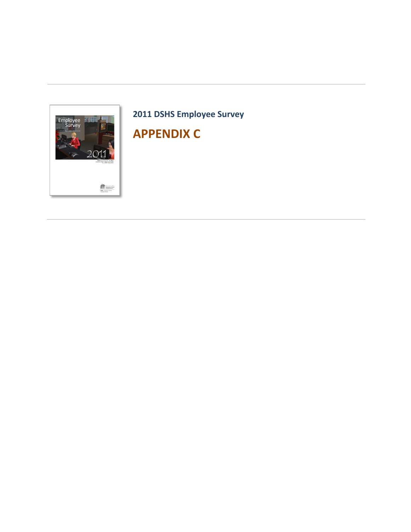

# **2011 DSHS Employee Survey**

# **APPENDIX C**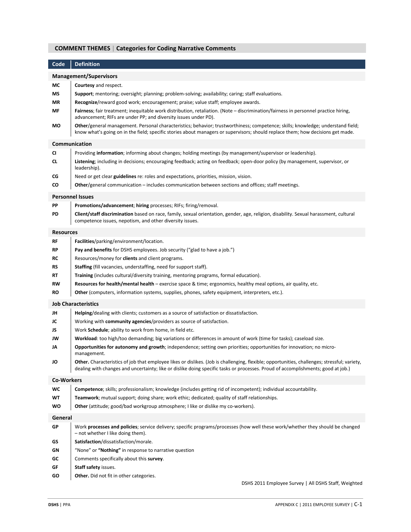## **COMMENT THEMES** | **Categories for Coding Narrative Comments**

| Code              | <b>Definition</b>                                                                                                                                                                                                                                                                |
|-------------------|----------------------------------------------------------------------------------------------------------------------------------------------------------------------------------------------------------------------------------------------------------------------------------|
|                   | <b>Management/Supervisors</b>                                                                                                                                                                                                                                                    |
| МC                | <b>Courtesy</b> and respect.                                                                                                                                                                                                                                                     |
| ΜS                | <b>Support</b> ; mentoring; oversight; planning; problem-solving; availability; caring; staff evaluations.                                                                                                                                                                       |
| ΜR                | Recognize/reward good work; encouragement; praise; value staff; employee awards.                                                                                                                                                                                                 |
| МF                | Fairness; fair treatment; inequitable work distribution, retaliation. (Note - discrimination/fairness in personnel practice hiring,<br>advancement; RIFs are under PP; and diversity issues under PD).                                                                           |
| МO                | Other/general management. Personal characteristics; behavior; trustworthiness; competence; skills; knowledge; understand field;<br>know what's going on in the field; specific stories about managers or supervisors; should replace them; how decisions get made.               |
|                   | Communication                                                                                                                                                                                                                                                                    |
| <b>CI</b>         | Providing information; informing about changes; holding meetings (by management/supervisor or leadership).                                                                                                                                                                       |
| CL.               | Listening; including in decisions; encouraging feedback; acting on feedback; open-door policy (by management, supervisor, or<br>leadership).                                                                                                                                     |
| СG                | Need or get clear guidelines re: roles and expectations, priorities, mission, vision.                                                                                                                                                                                            |
| CO                | <b>Other/general communication – includes communication between sections and offices; staff meetings.</b>                                                                                                                                                                        |
|                   | <b>Personnel Issues</b>                                                                                                                                                                                                                                                          |
| PP                | <b>Promotions/advancement; hiring</b> processes; RIFs; firing/removal.                                                                                                                                                                                                           |
| PD                | Client/staff discrimination based on race, family, sexual orientation, gender, age, religion, disability. Sexual harassment, cultural<br>competence issues, nepotism, and other diversity issues.                                                                                |
| <b>Resources</b>  |                                                                                                                                                                                                                                                                                  |
| <b>RF</b>         | Facilities/parking/environment/location.                                                                                                                                                                                                                                         |
| <b>RP</b>         | <b>Pay and benefits</b> for DSHS employees. Job security ("glad to have a job.")                                                                                                                                                                                                 |
| RC                | Resources/money for <b>clients</b> and client programs.                                                                                                                                                                                                                          |
| <b>RS</b>         | <b>Staffing</b> (fill vacancies, understaffing, need for support staff).                                                                                                                                                                                                         |
| RT                | <b>Training</b> (includes cultural/diversity training, mentoring programs, formal education).                                                                                                                                                                                    |
| <b>RW</b>         | Resources for health/mental health - exercise space & time; ergonomics, healthy meal options, air quality, etc.                                                                                                                                                                  |
| RO                | <b>Other</b> (computers, information systems, supplies, phones, safety equipment, interpreters, etc.).                                                                                                                                                                           |
|                   | <b>Job Characteristics</b>                                                                                                                                                                                                                                                       |
| JH                | Helping/dealing with clients; customers as a source of satisfaction or dissatisfaction.                                                                                                                                                                                          |
| JC                | Working with community agencies/providers as source of satisfaction.                                                                                                                                                                                                             |
| JS                | Work Schedule; ability to work from home, in field etc.                                                                                                                                                                                                                          |
| JW                | <b>Workload</b> : too high/too demanding; big variations or differences in amount of work (time for tasks); caseload size.                                                                                                                                                       |
| JΑ                | Opportunities for autonomy and growth; independence; setting own priorities; opportunities for innovation; no micro-<br>management.                                                                                                                                              |
| JO                | Other. Characteristics of job that employee likes or dislikes. (Job is challenging, flexible; opportunities, challenges; stressful; variety,<br>dealing with changes and uncertainty; like or dislike doing specific tasks or processes. Proud of accomplishments; good at job.) |
| <b>Co-Workers</b> |                                                                                                                                                                                                                                                                                  |
| wc                | Competence; skills; professionalism; knowledge (includes getting rid of incompetent); individual accountability.                                                                                                                                                                 |
| WT                | Teamwork; mutual support; doing share; work ethic; dedicated; quality of staff relationships.                                                                                                                                                                                    |
| wo                | <b>Other</b> (attitude; good/bad workgroup atmosphere; I like or dislike my co-workers).                                                                                                                                                                                         |
| General           |                                                                                                                                                                                                                                                                                  |
| GP                | Work processes and policies; service delivery; specific programs/processes (how well these work/whether they should be changed<br>- not whether I like doing them).                                                                                                              |
| GS                | Satisfaction/dissatisfaction/morale.                                                                                                                                                                                                                                             |
| GN                | "None" or "Nothing" in response to narrative question                                                                                                                                                                                                                            |
| GC                | Comments specifically about this survey.                                                                                                                                                                                                                                         |
| GF                | <b>Staff safety issues.</b>                                                                                                                                                                                                                                                      |
| GO                | <b>Other.</b> Did not fit in other categories.                                                                                                                                                                                                                                   |
|                   | DSHS 2011 Employee Survey   All DSHS Staff, Weighted                                                                                                                                                                                                                             |